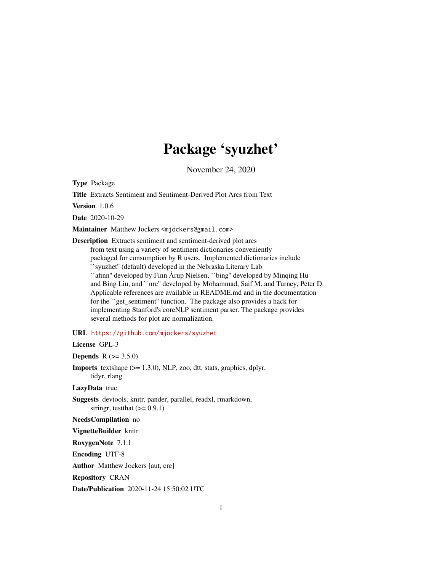# Package 'syuzhet'

November 24, 2020

<span id="page-0-0"></span>Type Package

Title Extracts Sentiment and Sentiment-Derived Plot Arcs from Text

Version 1.0.6

Date 2020-10-29

Maintainer Matthew Jockers <mjockers@gmail.com>

Description Extracts sentiment and sentiment-derived plot arcs from text using a variety of sentiment dictionaries conveniently packaged for consumption by R users. Implemented dictionaries include ``syuzhet'' (default) developed in the Nebraska Literary Lab ``afinn'' developed by Finn Årup Nielsen, ``bing'' developed by Minqing Hu and Bing Liu, and ``nrc'' developed by Mohammad, Saif M. and Turney, Peter D. Applicable references are available in README.md and in the documentation for the ``get\_sentiment'' function. The package also provides a hack for implementing Stanford's coreNLP sentiment parser. The package provides several methods for plot arc normalization.

URL <https://github.com/mjockers/syuzhet>

License GPL-3

**Depends**  $R (= 3.5.0)$ 

**Imports** textshape  $(>= 1.3.0)$ , NLP, zoo, dtt, stats, graphics, dplyr, tidyr, rlang

LazyData true

Suggests devtools, knitr, pander, parallel, readxl, rmarkdown, stringr, test that  $(>= 0.9.1)$ 

NeedsCompilation no

VignetteBuilder knitr

RoxygenNote 7.1.1

Encoding UTF-8

Author Matthew Jockers [aut, cre]

Repository CRAN

Date/Publication 2020-11-24 15:50:02 UTC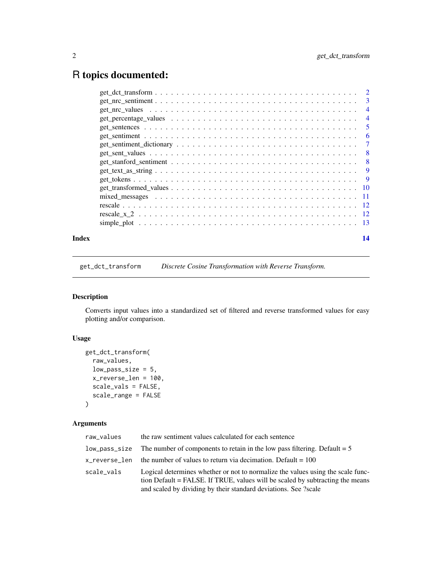# <span id="page-1-0"></span>R topics documented:

|       |                                                                                                                                                                                         | $\overline{4}$ |
|-------|-----------------------------------------------------------------------------------------------------------------------------------------------------------------------------------------|----------------|
|       |                                                                                                                                                                                         |                |
|       |                                                                                                                                                                                         |                |
|       |                                                                                                                                                                                         |                |
|       |                                                                                                                                                                                         |                |
|       |                                                                                                                                                                                         |                |
|       |                                                                                                                                                                                         |                |
|       | $get{\_text{\_texttt{text_1}}}\text{.}$ $s$ $\_text{\_texttt{text_2}}\text{.}$ $\_text{\_texttt{text_3}}\text{.}$ $\_text{\_texttt{text_4}}\text{.}$ $\_text{\_texttt{text_5}}\text{.}$ |                |
|       |                                                                                                                                                                                         |                |
|       |                                                                                                                                                                                         |                |
|       |                                                                                                                                                                                         |                |
|       |                                                                                                                                                                                         |                |
|       |                                                                                                                                                                                         |                |
|       |                                                                                                                                                                                         |                |
| Index |                                                                                                                                                                                         | 14             |

get\_dct\_transform *Discrete Cosine Transformation with Reverse Transform.*

# Description

Converts input values into a standardized set of filtered and reverse transformed values for easy plotting and/or comparison.

# Usage

```
get_dct_transform(
 raw_values,
 low_pass_size = 5,
 x_reverse_len = 100,
  scale_vals = FALSE,
  scale_range = FALSE
)
```
# Arguments

| raw_values | the raw sentiment values calculated for each sentence                                                                                                                                                                               |
|------------|-------------------------------------------------------------------------------------------------------------------------------------------------------------------------------------------------------------------------------------|
|            | $low_{\text{pass\_size}}$ The number of components to retain in the low pass filtering. Default = 5                                                                                                                                 |
|            | $x$ reverse len the number of values to return via decimation. Default = 100                                                                                                                                                        |
| scale_vals | Logical determines whether or not to normalize the values using the scale func-<br>tion Default = FALSE. If TRUE, values will be scaled by subtracting the means<br>and scaled by dividing by their standard deviations. See ?scale |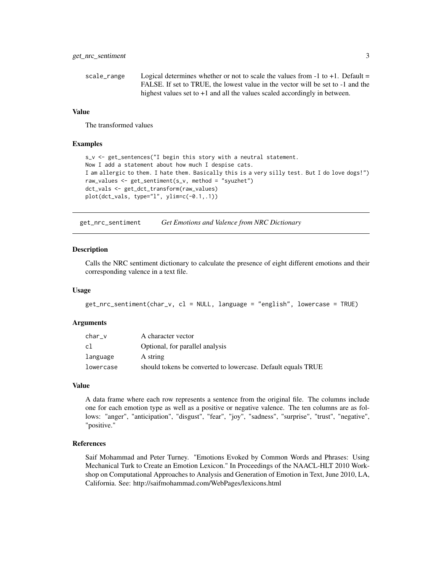```
scale_range Logical determines whether or not to scale the values from -1 to +1. Default =
                  FALSE. If set to TRUE, the lowest value in the vector will be set to -1 and the
                  highest values set to +1 and all the values scaled accordingly in between.
```
# Value

The transformed values

#### Examples

```
s_v <- get_sentences("I begin this story with a neutral statement.
Now I add a statement about how much I despise cats.
I am allergic to them. I hate them. Basically this is a very silly test. But I do love dogs!")
raw_values <- get_sentiment(s_v, method = "syuzhet")
dct_vals <- get_dct_transform(raw_values)
plot(dct_vals, type="l", ylim=c(-0.1,.1))
```
get\_nrc\_sentiment *Get Emotions and Valence from NRC Dictionary*

#### Description

Calls the NRC sentiment dictionary to calculate the presence of eight different emotions and their corresponding valence in a text file.

#### Usage

```
get_nrc_sentiment(char_v, cl = NULL, language = "english", lowercase = TRUE)
```
#### Arguments

| char v    | A character vector                                           |
|-----------|--------------------------------------------------------------|
| cl        | Optional, for parallel analysis                              |
| language  | A string                                                     |
| lowercase | should tokens be converted to lowercase. Default equals TRUE |

#### Value

A data frame where each row represents a sentence from the original file. The columns include one for each emotion type as well as a positive or negative valence. The ten columns are as follows: "anger", "anticipation", "disgust", "fear", "joy", "sadness", "surprise", "trust", "negative", "positive."

#### References

Saif Mohammad and Peter Turney. "Emotions Evoked by Common Words and Phrases: Using Mechanical Turk to Create an Emotion Lexicon." In Proceedings of the NAACL-HLT 2010 Workshop on Computational Approaches to Analysis and Generation of Emotion in Text, June 2010, LA, California. See: http://saifmohammad.com/WebPages/lexicons.html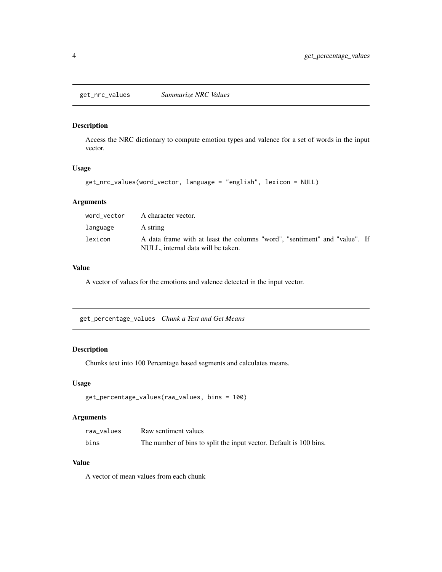<span id="page-3-0"></span>get\_nrc\_values *Summarize NRC Values*

# Description

Access the NRC dictionary to compute emotion types and valence for a set of words in the input vector.

# Usage

```
get_nrc_values(word_vector, language = "english", lexicon = NULL)
```
# Arguments

|          | word vector A character vector.                                                                                  |
|----------|------------------------------------------------------------------------------------------------------------------|
| language | A string                                                                                                         |
| lexicon  | A data frame with at least the columns "word", "sentiment" and "value". If<br>NULL, internal data will be taken. |

# Value

A vector of values for the emotions and valence detected in the input vector.

get\_percentage\_values *Chunk a Text and Get Means*

# Description

Chunks text into 100 Percentage based segments and calculates means.

#### Usage

```
get_percentage_values(raw_values, bins = 100)
```
# Arguments

| raw values | Raw sentiment values                                               |
|------------|--------------------------------------------------------------------|
| bins       | The number of bins to split the input vector. Default is 100 bins. |

# Value

A vector of mean values from each chunk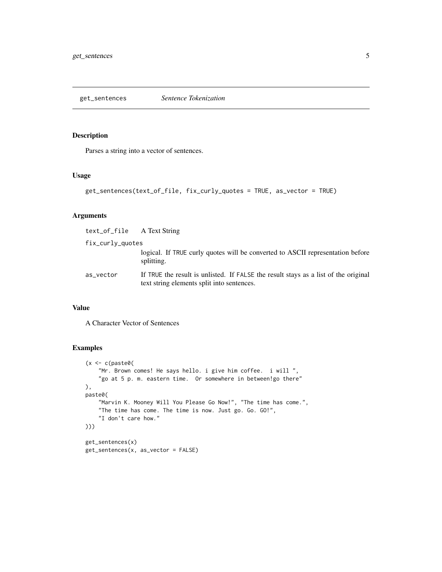<span id="page-4-0"></span>get\_sentences *Sentence Tokenization*

#### Description

Parses a string into a vector of sentences.

# Usage

```
get_sentences(text_of_file, fix_curly_quotes = TRUE, as_vector = TRUE)
```
# Arguments

| text_of_file A Text String |                                                                                                                                   |
|----------------------------|-----------------------------------------------------------------------------------------------------------------------------------|
| fix_curly_quotes           |                                                                                                                                   |
|                            | logical. If TRUE curly quotes will be converted to ASCII representation before<br>splitting.                                      |
| as_vector                  | If TRUE the result is unlisted. If FALSE the result stays as a list of the original<br>text string elements split into sentences. |

#### Value

A Character Vector of Sentences

# Examples

```
(x \leq c (paste0)
    "Mr. Brown comes! He says hello. i give him coffee. i will ",
    "go at 5 p. m. eastern time. Or somewhere in between!go there"
),
paste0(
    "Marvin K. Mooney Will You Please Go Now!", "The time has come.",
    "The time has come. The time is now. Just go. Go. GO!",
    "I don't care how."
)))
get_sentences(x)
get_sentences(x, as_vector = FALSE)
```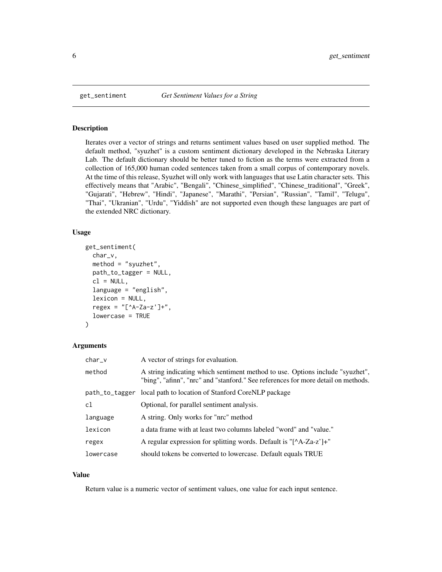<span id="page-5-0"></span>

#### Description

Iterates over a vector of strings and returns sentiment values based on user supplied method. The default method, "syuzhet" is a custom sentiment dictionary developed in the Nebraska Literary Lab. The default dictionary should be better tuned to fiction as the terms were extracted from a collection of 165,000 human coded sentences taken from a small corpus of contemporary novels. At the time of this release, Syuzhet will only work with languages that use Latin character sets. This effectively means that "Arabic", "Bengali", "Chinese\_simplified", "Chinese\_traditional", "Greek", "Gujarati", "Hebrew", "Hindi", "Japanese", "Marathi", "Persian", "Russian", "Tamil", "Telugu", "Thai", "Ukranian", "Urdu", "Yiddish" are not supported even though these languages are part of the extended NRC dictionary.

#### Usage

```
get_sentiment(
  char_v,
 method = "syuzhet",
 path_to_tagger = NULL,
  cl = NULL,language = "english",
  lexicon = NULL,
  regex = "[^A-Za-z']+",
  lowercase = TRUE
)
```
# Arguments

| char_v         | A vector of strings for evaluation.                                                                                                                                |
|----------------|--------------------------------------------------------------------------------------------------------------------------------------------------------------------|
| method         | A string indicating which sentiment method to use. Options include "syuzhet",<br>"bing", "afinn", "nrc" and "stanford." See references for more detail on methods. |
| path_to_tagger | local path to location of Stanford CoreNLP package                                                                                                                 |
| c1             | Optional, for parallel sentiment analysis.                                                                                                                         |
| language       | A string. Only works for "nrc" method                                                                                                                              |
| lexicon        | a data frame with at least two columns labeled "word" and "value."                                                                                                 |
| regex          | A regular expression for splitting words. Default is " $[^AA-Za-z']$ +"                                                                                            |
| lowercase      | should tokens be converted to lowercase. Default equals TRUE                                                                                                       |

#### Value

Return value is a numeric vector of sentiment values, one value for each input sentence.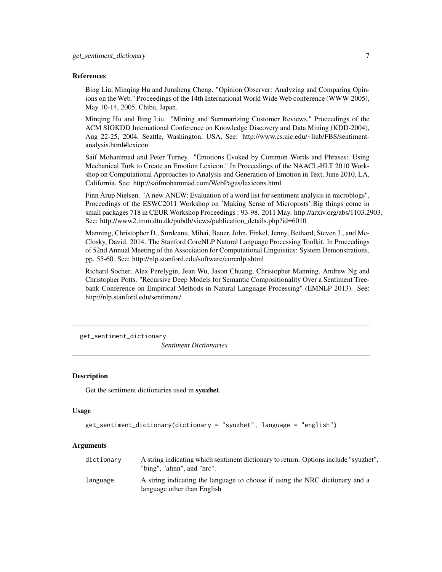#### <span id="page-6-0"></span>References

Bing Liu, Minqing Hu and Junsheng Cheng. "Opinion Observer: Analyzing and Comparing Opinions on the Web." Proceedings of the 14th International World Wide Web conference (WWW-2005), May 10-14, 2005, Chiba, Japan.

Minqing Hu and Bing Liu. "Mining and Summarizing Customer Reviews." Proceedings of the ACM SIGKDD International Conference on Knowledge Discovery and Data Mining (KDD-2004), Aug 22-25, 2004, Seattle, Washington, USA. See: http://www.cs.uic.edu/~liub/FBS/sentimentanalysis.html#lexicon

Saif Mohammad and Peter Turney. "Emotions Evoked by Common Words and Phrases: Using Mechanical Turk to Create an Emotion Lexicon." In Proceedings of the NAACL-HLT 2010 Workshop on Computational Approaches to Analysis and Generation of Emotion in Text, June 2010, LA, California. See: http://saifmohammad.com/WebPages/lexicons.html

Finn Årup Nielsen. "A new ANEW: Evaluation of a word list for sentiment analysis in microblogs", Proceedings of the ESWC2011 Workshop on 'Making Sense of Microposts':Big things come in small packages 718 in CEUR Workshop Proceedings : 93-98. 2011 May. http://arxiv.org/abs/1103.2903. See: http://www2.imm.dtu.dk/pubdb/views/publication\_details.php?id=6010

Manning, Christopher D., Surdeanu, Mihai, Bauer, John, Finkel, Jenny, Bethard, Steven J., and Mc-Closky, David. 2014. The Stanford CoreNLP Natural Language Processing Toolkit. In Proceedings of 52nd Annual Meeting of the Association for Computational Linguistics: System Demonstrations, pp. 55-60. See: http://nlp.stanford.edu/software/corenlp.shtml

Richard Socher, Alex Perelygin, Jean Wu, Jason Chuang, Christopher Manning, Andrew Ng and Christopher Potts. "Recursive Deep Models for Semantic Compositionality Over a Sentiment Treebank Conference on Empirical Methods in Natural Language Processing" (EMNLP 2013). See: http://nlp.stanford.edu/sentiment/

get\_sentiment\_dictionary

*Sentiment Dictionaries*

#### **Description**

Get the sentiment dictionaries used in **syuzhet**.

#### Usage

```
get_sentiment_dictionary(dictionary = "syuzhet", language = "english")
```
#### Arguments

| dictionary | A string indicating which sentiment dictionary to return. Options include "syuzhet",<br>"bing", "afinn", and "nrc". |
|------------|---------------------------------------------------------------------------------------------------------------------|
| language   | A string indicating the language to choose if using the NRC dictionary and a<br>language other than English         |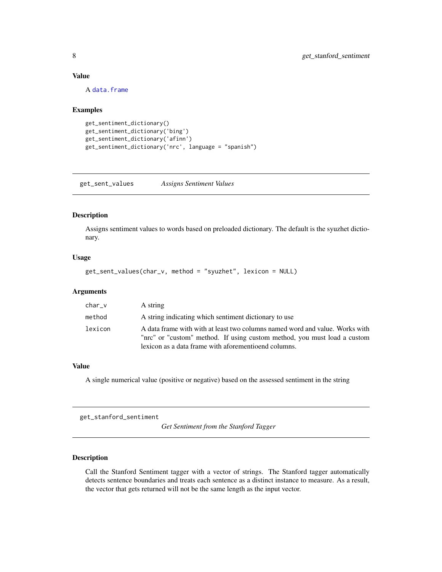# <span id="page-7-0"></span>Value

A [data.frame](#page-0-0)

#### Examples

```
get_sentiment_dictionary()
get_sentiment_dictionary('bing')
get_sentiment_dictionary('afinn')
get_sentiment_dictionary('nrc', language = "spanish")
```
get\_sent\_values *Assigns Sentiment Values*

#### Description

Assigns sentiment values to words based on preloaded dictionary. The default is the syuzhet dictionary.

# Usage

```
get_sent_values(char_v, method = "syuzhet", lexicon = NULL)
```
#### Arguments

| $char_v$ | A string                                                                                                                                                                                                         |
|----------|------------------------------------------------------------------------------------------------------------------------------------------------------------------------------------------------------------------|
| method   | A string indicating which sentiment dictionary to use                                                                                                                                                            |
| lexicon  | A data frame with with at least two columns named word and value. Works with<br>"nrc" or "custom" method. If using custom method, you must load a custom<br>lexicon as a data frame with aforementioend columns. |

# Value

A single numerical value (positive or negative) based on the assessed sentiment in the string

get\_stanford\_sentiment

*Get Sentiment from the Stanford Tagger*

# Description

Call the Stanford Sentiment tagger with a vector of strings. The Stanford tagger automatically detects sentence boundaries and treats each sentence as a distinct instance to measure. As a result, the vector that gets returned will not be the same length as the input vector.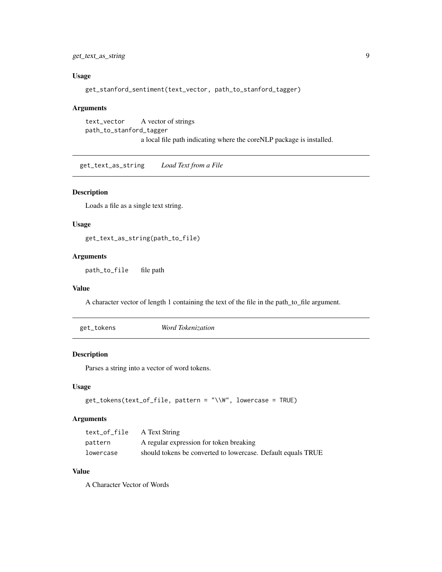# <span id="page-8-0"></span>get\_text\_as\_string 9

# Usage

get\_stanford\_sentiment(text\_vector, path\_to\_stanford\_tagger)

#### Arguments

```
text_vector A vector of strings
path_to_stanford_tagger
                 a local file path indicating where the coreNLP package is installed.
```
get\_text\_as\_string *Load Text from a File*

# Description

Loads a file as a single text string.

#### Usage

get\_text\_as\_string(path\_to\_file)

# Arguments

path\_to\_file file path

#### Value

A character vector of length 1 containing the text of the file in the path\_to\_file argument.

| get_tokens | Word Tokenization |  |  |
|------------|-------------------|--|--|
|------------|-------------------|--|--|

### Description

Parses a string into a vector of word tokens.

# Usage

```
get_tokens(text_of_file, pattern = "\\W", lowercase = TRUE)
```
# Arguments

| text_of_file | A Text String                                                |
|--------------|--------------------------------------------------------------|
| pattern      | A regular expression for token breaking                      |
| lowercase    | should tokens be converted to lowercase. Default equals TRUE |

# Value

A Character Vector of Words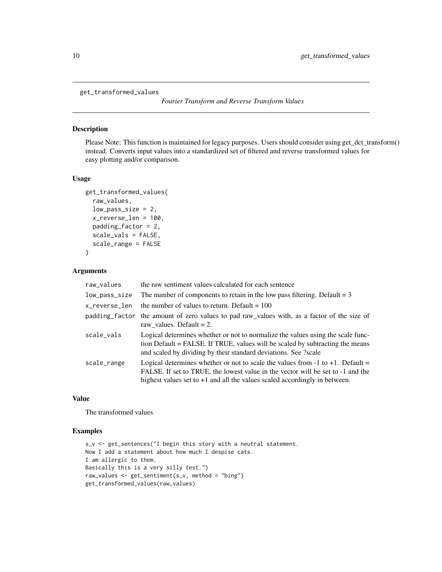```
get_transformed_values
```
*Fourier Transform and Reverse Transform Values*

#### Description

Please Note: This function is maintained for legacy purposes. Users should consider using get\_dct\_transform() instead. Converts input values into a standardized set of filtered and reverse transformed values for easy plotting and/or comparison.

# Usage

```
get_transformed_values(
  raw_values,
  low-pass_size = 2,
  x_reverse_len = 100,
  padding_factor = 2,
  scale_vals = FALSE,
  scale_range = FALSE
)
```
# Arguments

| raw_values    | the raw sentiment values calculated for each sentence                                                                                                                                                                                                  |
|---------------|--------------------------------------------------------------------------------------------------------------------------------------------------------------------------------------------------------------------------------------------------------|
| low_pass_size | The number of components to retain in the low pass filtering. Default $= 3$                                                                                                                                                                            |
| x_reverse_len | the number of values to return. Default $= 100$                                                                                                                                                                                                        |
|               | padding factor the amount of zero values to pad raw values with, as a factor of the size of<br>raw values. Default $= 2$ .                                                                                                                             |
| scale_vals    | Logical determines whether or not to normalize the values using the scale func-<br>tion Default = FALSE. If TRUE, values will be scaled by subtracting the means<br>and scaled by dividing by their standard deviations. See ?scale                    |
| scale_range   | Logical determines whether or not to scale the values from $-1$ to $+1$ . Default =<br>FALSE. If set to TRUE, the lowest value in the vector will be set to -1 and the<br>highest values set to $+1$ and all the values scaled accordingly in between. |

#### Value

The transformed values

#### Examples

```
s_v <- get_sentences("I begin this story with a neutral statement.
Now I add a statement about how much I despise cats.
I am allergic to them.
Basically this is a very silly test.")
raw_values <- get_sentiment(s_v, method = "bing")
get_transformed_values(raw_values)
```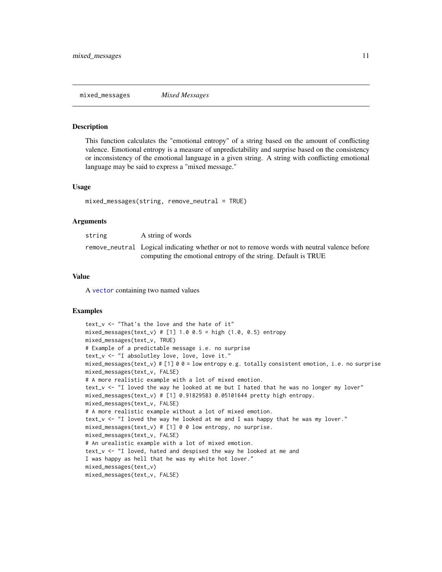<span id="page-10-0"></span>mixed\_messages *Mixed Messages*

#### Description

This function calculates the "emotional entropy" of a string based on the amount of conflicting valence. Emotional entropy is a measure of unpredictability and surprise based on the consistency or inconsistency of the emotional language in a given string. A string with conflicting emotional language may be said to express a "mixed message."

#### Usage

```
mixed_messages(string, remove_neutral = TRUE)
```
#### Arguments

| string | A string of words                                                                            |
|--------|----------------------------------------------------------------------------------------------|
|        | remove_neutral Logical indicating whether or not to remove words with neutral valence before |
|        | computing the emotional entropy of the string. Default is TRUE                               |

#### Value

A [vector](#page-0-0) containing two named values

#### Examples

```
text_v <- "That's the love and the hate of it"
mixed_messages(text_v) # [1] 1.0 0.5 = high (1.0, 0.5) entropy
mixed_messages(text_v, TRUE)
# Example of a predictable message i.e. no surprise
text_v <- "I absolutley love, love, love it."
mixed_messages(text_v) # [1] 0 0 = low entropy e.g. totally consistent emotion, i.e. no surprise
mixed_messages(text_v, FALSE)
# A more realistic example with a lot of mixed emotion.
text_v <- "I loved the way he looked at me but I hated that he was no longer my lover"
mixed_messages(text_v) # [1] 0.91829583 0.05101644 pretty high entropy.
mixed_messages(text_v, FALSE)
# A more realistic example without a lot of mixed emotion.
text_v <- "I loved the way he looked at me and I was happy that he was my lover."
mixed_messages(text_v) # [1] 0 0 low entropy, no surprise.
mixed_messages(text_v, FALSE)
# An urealistic example with a lot of mixed emotion.
text_v <- "I loved, hated and despised the way he looked at me and
I was happy as hell that he was my white hot lover."
mixed_messages(text_v)
mixed_messages(text_v, FALSE)
```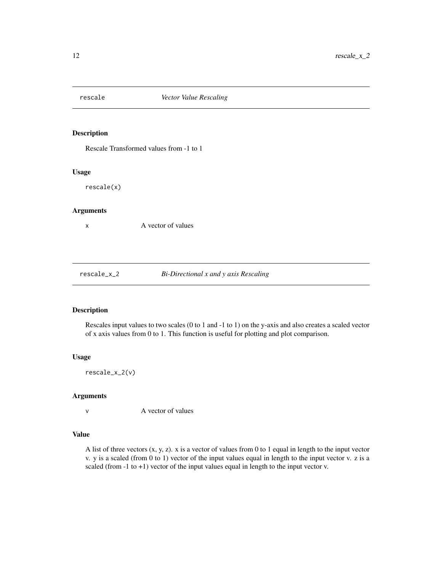<span id="page-11-0"></span>

# Description

Rescale Transformed values from -1 to 1

#### Usage

rescale(x)

# Arguments

x A vector of values

rescale\_x\_2 *Bi-Directional x and y axis Rescaling*

# Description

Rescales input values to two scales (0 to 1 and -1 to 1) on the y-axis and also creates a scaled vector of x axis values from 0 to 1. This function is useful for plotting and plot comparison.

#### Usage

rescale\_x\_2(v)

#### Arguments

v A vector of values

#### Value

A list of three vectors  $(x, y, z)$ . x is a vector of values from 0 to 1 equal in length to the input vector v. y is a scaled (from 0 to 1) vector of the input values equal in length to the input vector v. z is a scaled (from -1 to +1) vector of the input values equal in length to the input vector v.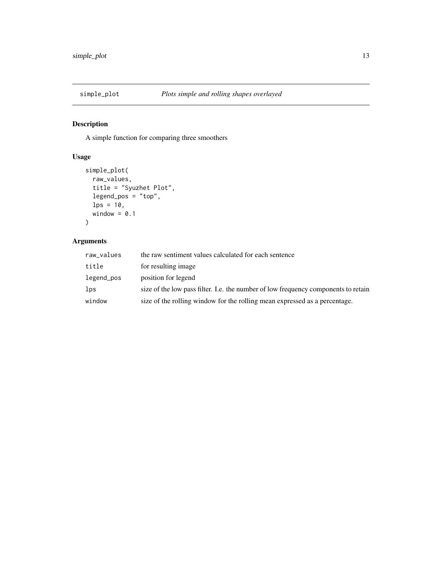<span id="page-12-0"></span>

# Description

A simple function for comparing three smoothers

# Usage

```
simple_plot(
 raw_values,
 title = "Syuzhet Plot",
 legend_pos = "top",
 lps = 10,
 window = 0.1)
```
# Arguments

| raw_values | the raw sentiment values calculated for each sentence                              |
|------------|------------------------------------------------------------------------------------|
| title      | for resulting image                                                                |
| legend_pos | position for legend                                                                |
| lps        | size of the low pass filter. I.e. the number of low frequency components to retain |
| window     | size of the rolling window for the rolling mean expressed as a percentage.         |